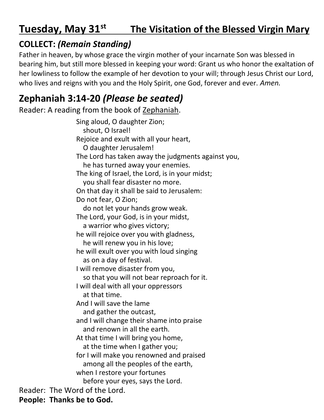# **Tuesday, May 31st The Visitation of the Blessed Virgin Mary**

#### **COLLECT:** *(Remain Standing)*

Father in heaven, by whose grace the virgin mother of your incarnate Son was blessed in bearing him, but still more blessed in keeping your word: Grant us who honor the exaltation of her lowliness to follow the example of her devotion to your will; through Jesus Christ our Lord, who lives and reigns with you and the Holy Spirit, one God, forever and ever. *Amen.*

#### **Zephaniah 3:14-20** *(Please be seated)*

Reader: A reading from the book of Zephaniah.

Sing aloud, O daughter Zion; shout, O Israel! Rejoice and exult with all your heart, O daughter Jerusalem! The Lord has taken away the judgments against you, he has turned away your enemies. The king of Israel, the Lord, is in your midst; you shall fear disaster no more. On that day it shall be said to Jerusalem: Do not fear, O Zion; do not let your hands grow weak. The Lord, your God, is in your midst, a warrior who gives victory; he will rejoice over you with gladness, he will renew you in his love; he will exult over you with loud singing as on a day of festival. I will remove disaster from you, so that you will not bear reproach for it. I will deal with all your oppressors at that time. And I will save the lame and gather the outcast, and I will change their shame into praise and renown in all the earth. At that time I will bring you home, at the time when I gather you; for I will make you renowned and praised among all the peoples of the earth, when I restore your fortunes before your eyes, says the Lord. Reader: The Word of the Lord.

**People: Thanks be to God.**